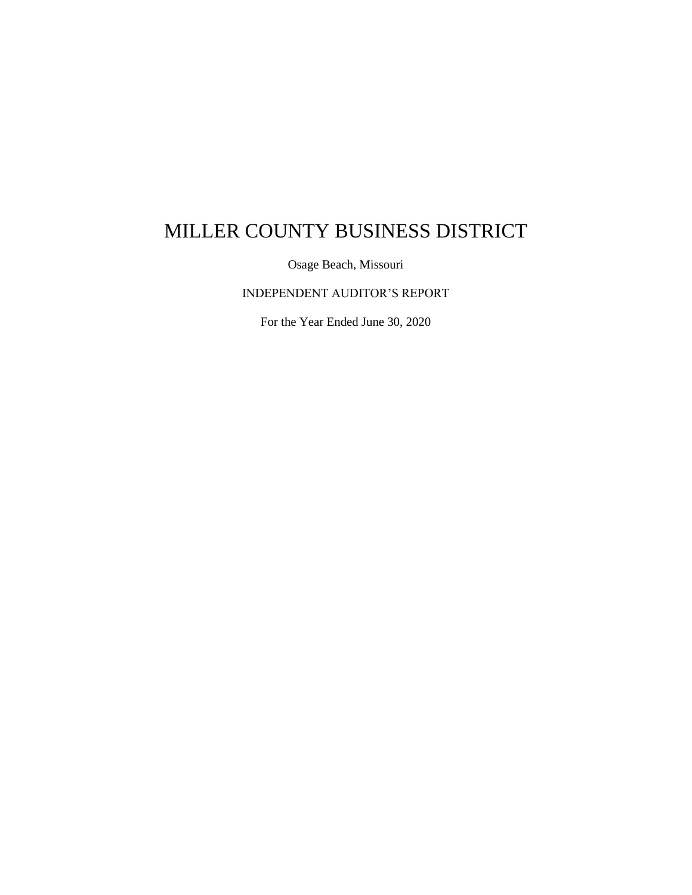Osage Beach, Missouri

INDEPENDENT AUDITOR'S REPORT

For the Year Ended June 30, 2020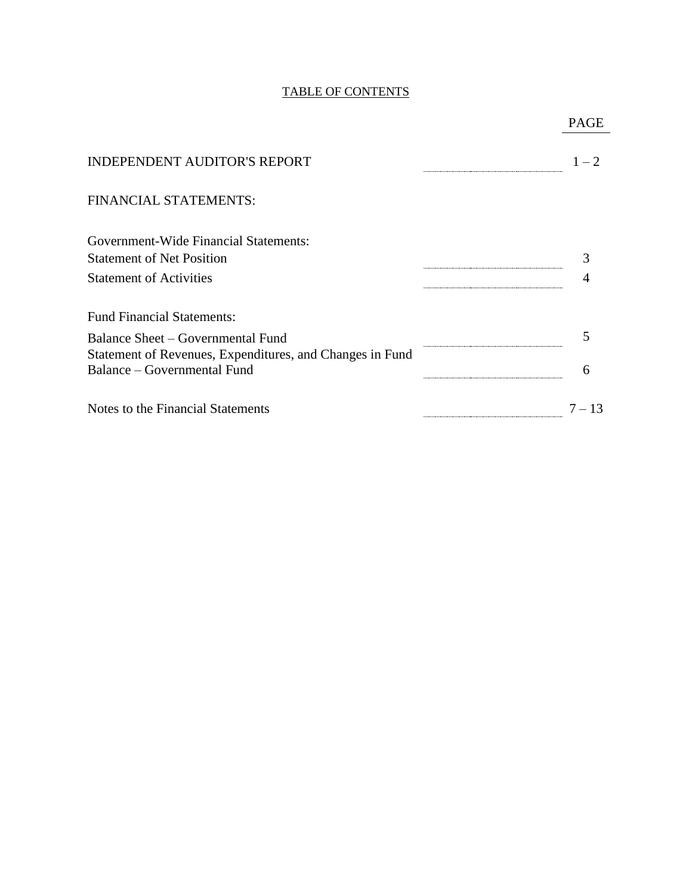#### TABLE OF CONTENTS

|                                                                                         | PAGE     |
|-----------------------------------------------------------------------------------------|----------|
| <b>INDEPENDENT AUDITOR'S REPORT</b>                                                     | $1 - 2$  |
| FINANCIAL STATEMENTS:                                                                   |          |
| Government-Wide Financial Statements:<br><b>Statement of Net Position</b>               |          |
| <b>Statement of Activities</b>                                                          |          |
| <b>Fund Financial Statements:</b>                                                       |          |
| Balance Sheet – Governmental Fund                                                       | 5        |
| Statement of Revenues, Expenditures, and Changes in Fund<br>Balance – Governmental Fund | 6        |
| Notes to the Financial Statements                                                       | $7 - 13$ |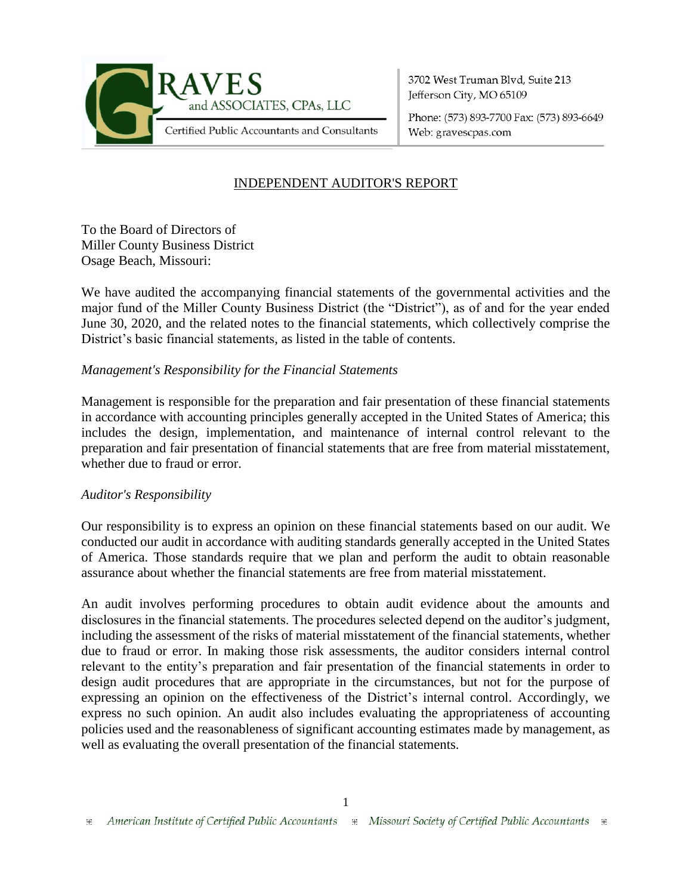

3702 West Truman Blvd, Suite 213 Jefferson City, MO 65109

Phone: (573) 893-7700 Fax: (573) 893-6649 Web: gravescpas.com

# INDEPENDENT AUDITOR'S REPORT

To the Board of Directors of Miller County Business District Osage Beach, Missouri:

We have audited the accompanying financial statements of the governmental activities and the major fund of the Miller County Business District (the "District"), as of and for the year ended June 30, 2020, and the related notes to the financial statements, which collectively comprise the District's basic financial statements, as listed in the table of contents.

## *Management's Responsibility for the Financial Statements*

Management is responsible for the preparation and fair presentation of these financial statements in accordance with accounting principles generally accepted in the United States of America; this includes the design, implementation, and maintenance of internal control relevant to the preparation and fair presentation of financial statements that are free from material misstatement, whether due to fraud or error.

## *Auditor's Responsibility*

Our responsibility is to express an opinion on these financial statements based on our audit. We conducted our audit in accordance with auditing standards generally accepted in the United States of America. Those standards require that we plan and perform the audit to obtain reasonable assurance about whether the financial statements are free from material misstatement.

An audit involves performing procedures to obtain audit evidence about the amounts and disclosures in the financial statements. The procedures selected depend on the auditor's judgment, including the assessment of the risks of material misstatement of the financial statements, whether due to fraud or error. In making those risk assessments, the auditor considers internal control relevant to the entity's preparation and fair presentation of the financial statements in order to design audit procedures that are appropriate in the circumstances, but not for the purpose of expressing an opinion on the effectiveness of the District's internal control. Accordingly, we express no such opinion. An audit also includes evaluating the appropriateness of accounting policies used and the reasonableness of significant accounting estimates made by management, as well as evaluating the overall presentation of the financial statements.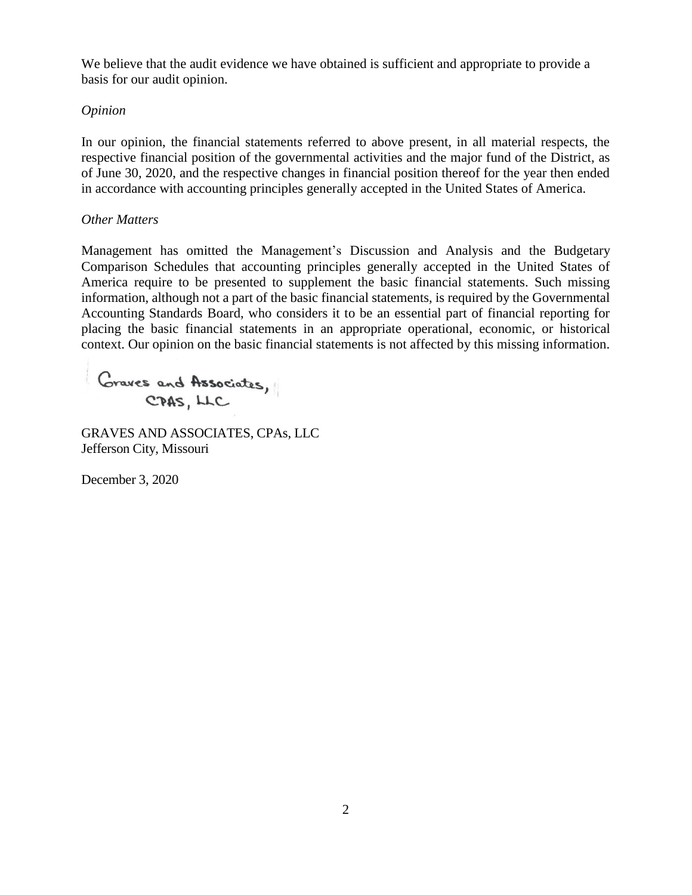We believe that the audit evidence we have obtained is sufficient and appropriate to provide a basis for our audit opinion.

## *Opinion*

In our opinion, the financial statements referred to above present, in all material respects, the respective financial position of the governmental activities and the major fund of the District, as of June 30, 2020, and the respective changes in financial position thereof for the year then ended in accordance with accounting principles generally accepted in the United States of America.

## *Other Matters*

Management has omitted the Management's Discussion and Analysis and the Budgetary Comparison Schedules that accounting principles generally accepted in the United States of America require to be presented to supplement the basic financial statements. Such missing information, although not a part of the basic financial statements, is required by the Governmental Accounting Standards Board, who considers it to be an essential part of financial reporting for placing the basic financial statements in an appropriate operational, economic, or historical context. Our opinion on the basic financial statements is not affected by this missing information.

Graves and Associates, CPAS, LLC

GRAVES AND ASSOCIATES, CPAs, LLC Jefferson City, Missouri

December 3, 2020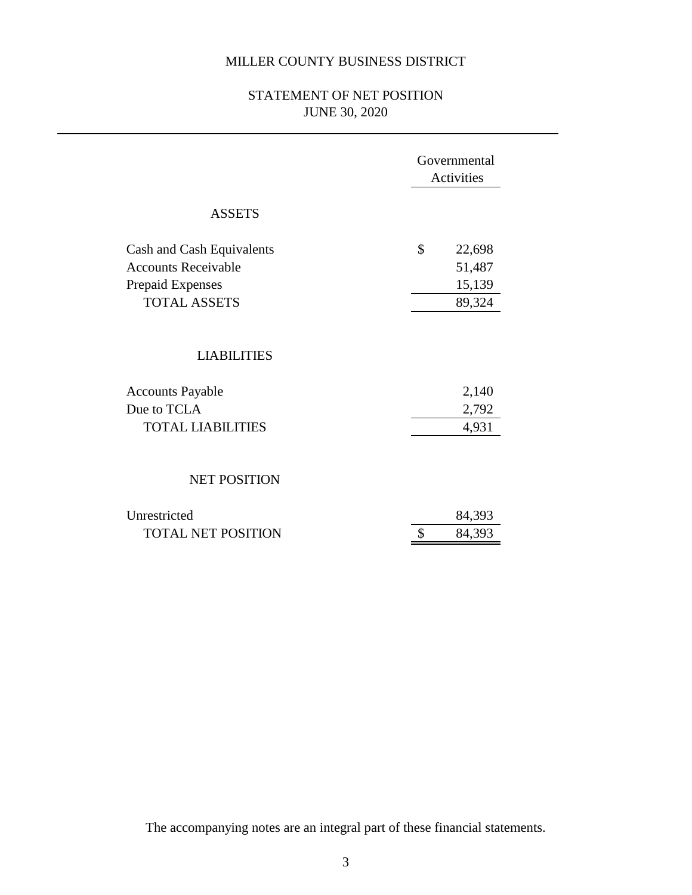# STATEMENT OF NET POSITION JUNE 30, 2020

|                                        | Governmental<br>Activities |
|----------------------------------------|----------------------------|
| <b>ASSETS</b>                          |                            |
| Cash and Cash Equivalents              | \$<br>22,698               |
| <b>Accounts Receivable</b>             | 51,487                     |
| Prepaid Expenses                       | 15,139                     |
| <b>TOTAL ASSETS</b>                    | 89,324                     |
| <b>Accounts Payable</b><br>Due to TCLA | 2,140<br>2,792             |
| <b>TOTAL LIABILITIES</b>               | 4,931                      |
| <b>NET POSITION</b>                    |                            |
| Unrestricted                           | 84,393                     |
| <b>TOTAL NET POSITION</b>              | 84,393                     |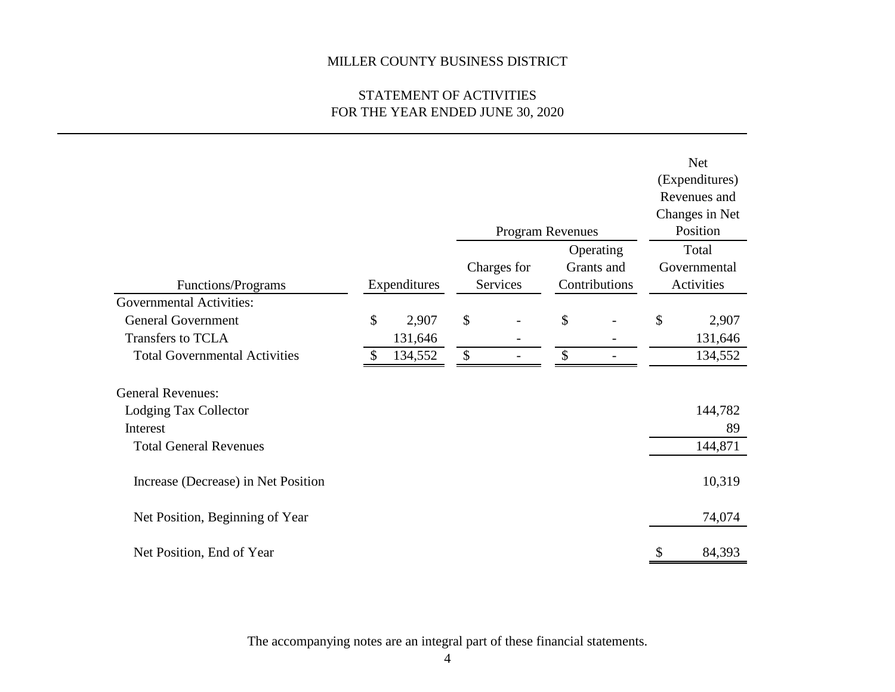## STATEMENT OF ACTIVITIES FOR THE YEAR ENDED JUNE 30, 2020

|                                      |              | <b>Program Revenues</b> |                                          | <b>Net</b><br>(Expenditures)<br>Revenues and<br>Changes in Net<br>Position |
|--------------------------------------|--------------|-------------------------|------------------------------------------|----------------------------------------------------------------------------|
| Functions/Programs                   | Expenditures | Charges for<br>Services | Operating<br>Grants and<br>Contributions | Total<br>Governmental<br>Activities                                        |
| <b>Governmental Activities:</b>      |              |                         |                                          |                                                                            |
| <b>General Government</b>            | \$<br>2,907  | \$                      | \$                                       | \$<br>2,907                                                                |
| <b>Transfers to TCLA</b>             | 131,646      |                         |                                          | 131,646                                                                    |
| <b>Total Governmental Activities</b> | 134,552      | \$                      | \$                                       | 134,552                                                                    |
| <b>General Revenues:</b>             |              |                         |                                          |                                                                            |
| Lodging Tax Collector                |              |                         |                                          | 144,782                                                                    |
| Interest                             |              |                         |                                          | 89                                                                         |
| <b>Total General Revenues</b>        |              |                         |                                          | 144,871                                                                    |
| Increase (Decrease) in Net Position  |              |                         |                                          | 10,319                                                                     |
| Net Position, Beginning of Year      |              |                         |                                          | 74,074                                                                     |
| Net Position, End of Year            |              |                         |                                          | 84,393                                                                     |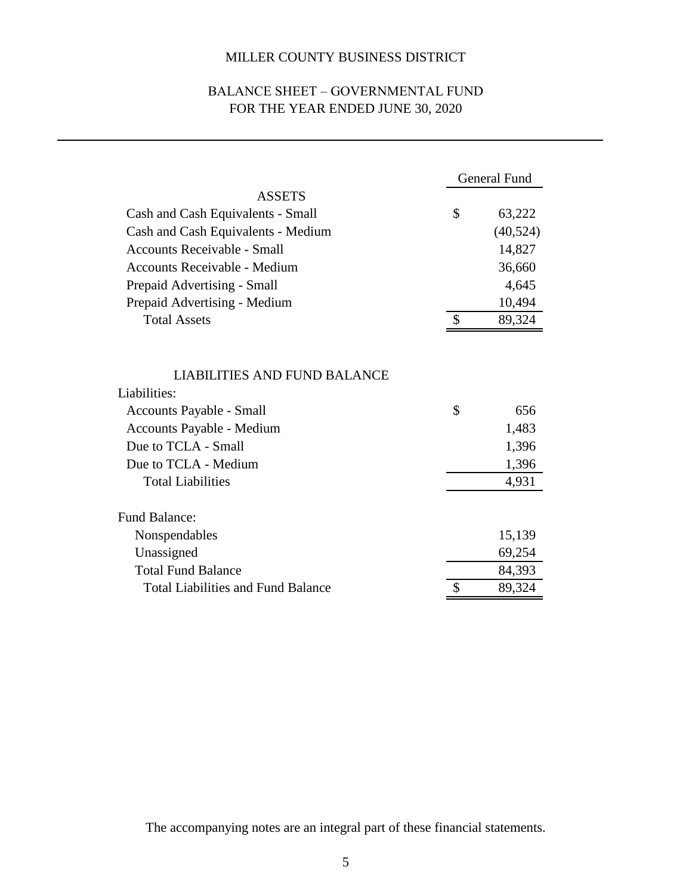# BALANCE SHEET – GOVERNMENTAL FUND FOR THE YEAR ENDED JUNE 30, 2020

|                                                                                                      |               | <b>General Fund</b>              |
|------------------------------------------------------------------------------------------------------|---------------|----------------------------------|
| <b>ASSETS</b>                                                                                        |               |                                  |
| Cash and Cash Equivalents - Small                                                                    | \$            | 63,222                           |
| Cash and Cash Equivalents - Medium                                                                   |               | (40,524)                         |
| <b>Accounts Receivable - Small</b>                                                                   |               | 14,827                           |
| <b>Accounts Receivable - Medium</b>                                                                  |               | 36,660                           |
| Prepaid Advertising - Small                                                                          |               | 4,645                            |
| Prepaid Advertising - Medium                                                                         |               | 10,494                           |
| <b>Total Assets</b>                                                                                  | $\mathcal{S}$ | 89,324                           |
| Accounts Payable - Medium<br>Due to TCLA - Small<br>Due to TCLA - Medium<br><b>Total Liabilities</b> |               | 1,483<br>1,396<br>1,396<br>4,931 |
| <b>Fund Balance:</b>                                                                                 |               |                                  |
|                                                                                                      |               | 15,139                           |
| Nonspendables                                                                                        |               |                                  |
| Unassigned                                                                                           |               | 69,254                           |
| <b>Total Fund Balance</b>                                                                            |               | 84,393                           |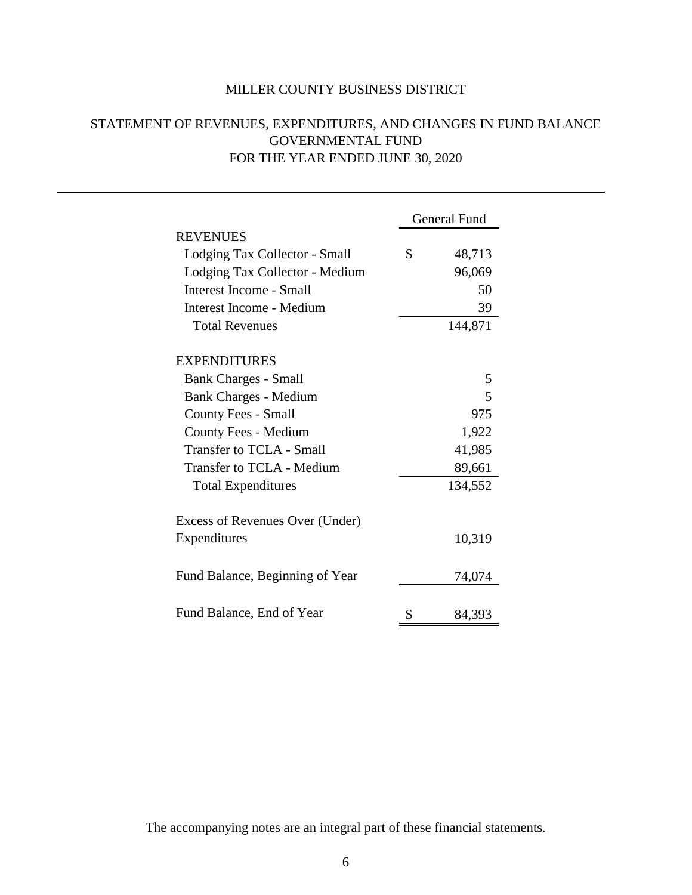# STATEMENT OF REVENUES, EXPENDITURES, AND CHANGES IN FUND BALANCE GOVERNMENTAL FUND FOR THE YEAR ENDED JUNE 30, 2020

|                                 | <b>General Fund</b> |
|---------------------------------|---------------------|
| <b>REVENUES</b>                 |                     |
| Lodging Tax Collector - Small   | \$<br>48,713        |
| Lodging Tax Collector - Medium  | 96,069              |
| Interest Income - Small         | 50                  |
| Interest Income - Medium        | 39                  |
| <b>Total Revenues</b>           | 144,871             |
| <b>EXPENDITURES</b>             |                     |
| <b>Bank Charges - Small</b>     | 5                   |
| Bank Charges - Medium           | 5                   |
| <b>County Fees - Small</b>      | 975                 |
| County Fees - Medium            | 1,922               |
| <b>Transfer to TCLA - Small</b> | 41,985              |
| Transfer to TCLA - Medium       | 89,661              |
| <b>Total Expenditures</b>       | 134,552             |
| Excess of Revenues Over (Under) |                     |
| Expenditures                    | 10,319              |
| Fund Balance, Beginning of Year | 74,074              |
| Fund Balance, End of Year       | \$<br>84,393        |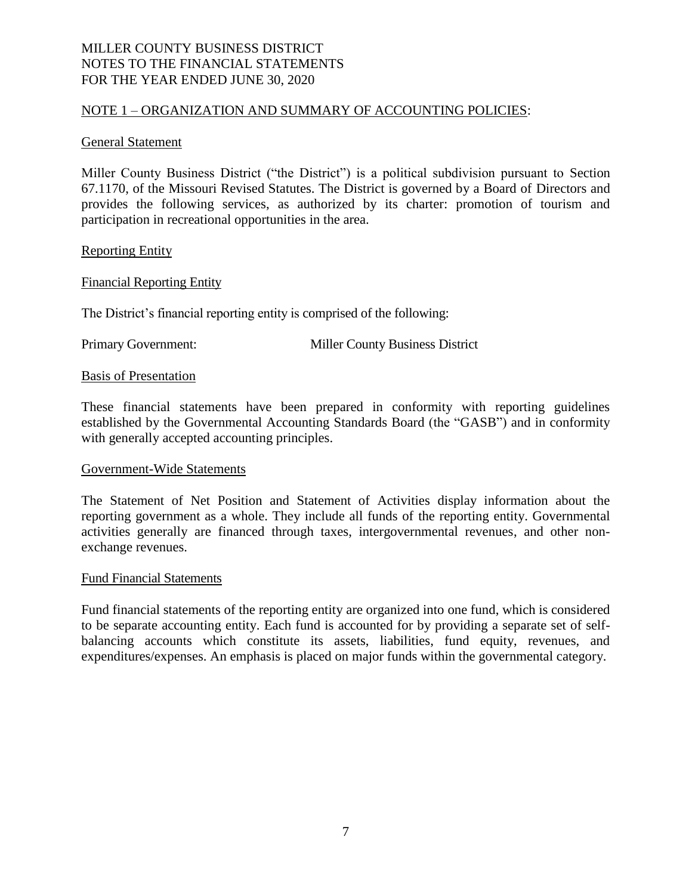#### NOTE 1 – ORGANIZATION AND SUMMARY OF ACCOUNTING POLICIES:

#### General Statement

Miller County Business District ("the District") is a political subdivision pursuant to Section 67.1170, of the Missouri Revised Statutes. The District is governed by a Board of Directors and provides the following services, as authorized by its charter: promotion of tourism and participation in recreational opportunities in the area.

#### Reporting Entity

Financial Reporting Entity

The District's financial reporting entity is comprised of the following:

Primary Government: Miller County Business District

#### Basis of Presentation

These financial statements have been prepared in conformity with reporting guidelines established by the Governmental Accounting Standards Board (the "GASB") and in conformity with generally accepted accounting principles.

#### Government-Wide Statements

The Statement of Net Position and Statement of Activities display information about the reporting government as a whole. They include all funds of the reporting entity. Governmental activities generally are financed through taxes, intergovernmental revenues, and other nonexchange revenues.

#### Fund Financial Statements

Fund financial statements of the reporting entity are organized into one fund, which is considered to be separate accounting entity. Each fund is accounted for by providing a separate set of selfbalancing accounts which constitute its assets, liabilities, fund equity, revenues, and expenditures/expenses. An emphasis is placed on major funds within the governmental category.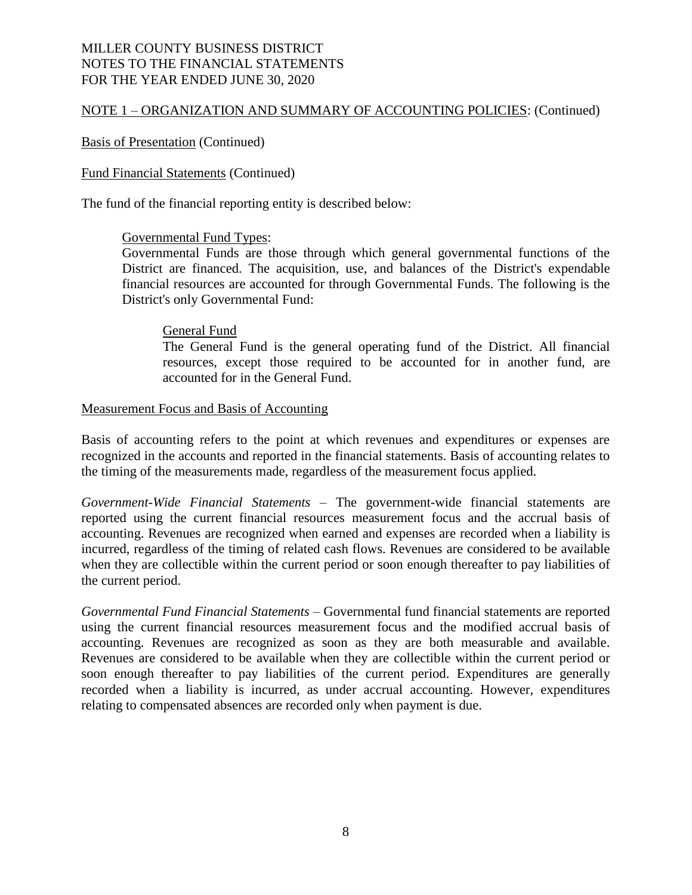#### NOTE 1 – ORGANIZATION AND SUMMARY OF ACCOUNTING POLICIES: (Continued)

#### Basis of Presentation (Continued)

#### Fund Financial Statements (Continued)

The fund of the financial reporting entity is described below:

## Governmental Fund Types:

Governmental Funds are those through which general governmental functions of the District are financed. The acquisition, use, and balances of the District's expendable financial resources are accounted for through Governmental Funds. The following is the District's only Governmental Fund:

#### General Fund

The General Fund is the general operating fund of the District. All financial resources, except those required to be accounted for in another fund, are accounted for in the General Fund.

#### Measurement Focus and Basis of Accounting

Basis of accounting refers to the point at which revenues and expenditures or expenses are recognized in the accounts and reported in the financial statements. Basis of accounting relates to the timing of the measurements made, regardless of the measurement focus applied.

*Government-Wide Financial Statements* – The government-wide financial statements are reported using the current financial resources measurement focus and the accrual basis of accounting. Revenues are recognized when earned and expenses are recorded when a liability is incurred, regardless of the timing of related cash flows. Revenues are considered to be available when they are collectible within the current period or soon enough thereafter to pay liabilities of the current period.

*Governmental Fund Financial Statements* – Governmental fund financial statements are reported using the current financial resources measurement focus and the modified accrual basis of accounting. Revenues are recognized as soon as they are both measurable and available. Revenues are considered to be available when they are collectible within the current period or soon enough thereafter to pay liabilities of the current period. Expenditures are generally recorded when a liability is incurred, as under accrual accounting. However, expenditures relating to compensated absences are recorded only when payment is due.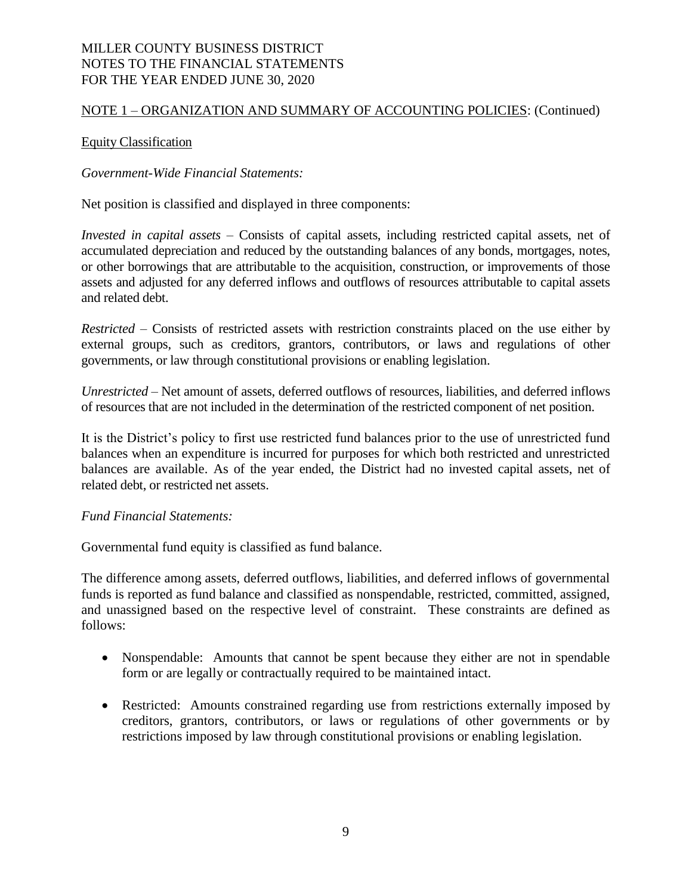## NOTE 1 – ORGANIZATION AND SUMMARY OF ACCOUNTING POLICIES: (Continued)

## Equity Classification

*Government-Wide Financial Statements:*

Net position is classified and displayed in three components:

*Invested in capital assets –* Consists of capital assets, including restricted capital assets, net of accumulated depreciation and reduced by the outstanding balances of any bonds, mortgages, notes, or other borrowings that are attributable to the acquisition, construction, or improvements of those assets and adjusted for any deferred inflows and outflows of resources attributable to capital assets and related debt.

*Restricted* – Consists of restricted assets with restriction constraints placed on the use either by external groups, such as creditors, grantors, contributors, or laws and regulations of other governments, or law through constitutional provisions or enabling legislation.

*Unrestricted* – Net amount of assets, deferred outflows of resources, liabilities, and deferred inflows of resources that are not included in the determination of the restricted component of net position.

It is the District's policy to first use restricted fund balances prior to the use of unrestricted fund balances when an expenditure is incurred for purposes for which both restricted and unrestricted balances are available. As of the year ended, the District had no invested capital assets, net of related debt, or restricted net assets.

## *Fund Financial Statements:*

Governmental fund equity is classified as fund balance.

The difference among assets, deferred outflows, liabilities, and deferred inflows of governmental funds is reported as fund balance and classified as nonspendable, restricted, committed, assigned, and unassigned based on the respective level of constraint. These constraints are defined as follows:

- Nonspendable: Amounts that cannot be spent because they either are not in spendable form or are legally or contractually required to be maintained intact.
- Restricted: Amounts constrained regarding use from restrictions externally imposed by creditors, grantors, contributors, or laws or regulations of other governments or by restrictions imposed by law through constitutional provisions or enabling legislation.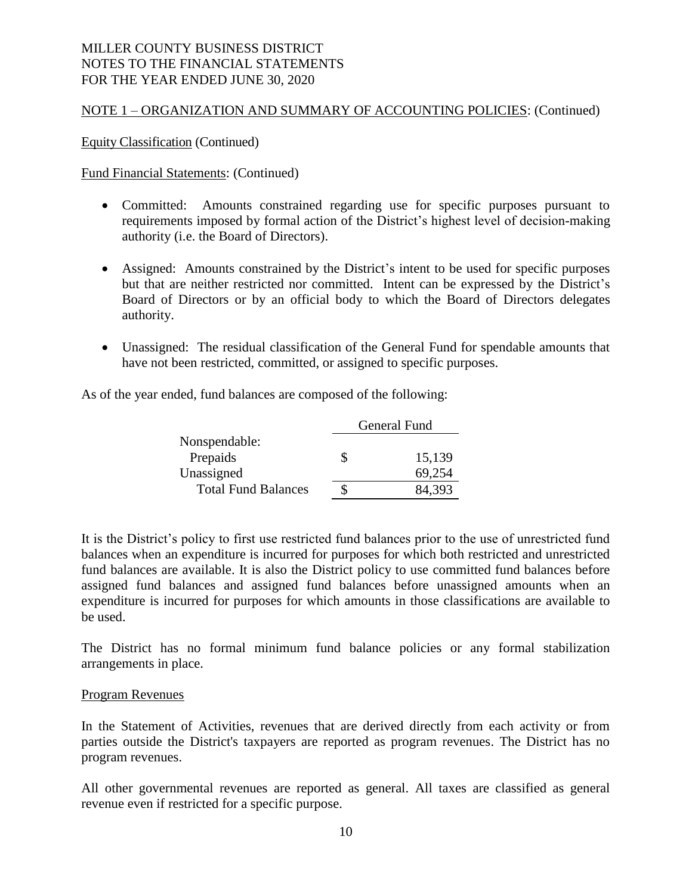#### NOTE 1 – ORGANIZATION AND SUMMARY OF ACCOUNTING POLICIES: (Continued)

Equity Classification (Continued)

Fund Financial Statements: (Continued)

- Committed: Amounts constrained regarding use for specific purposes pursuant to requirements imposed by formal action of the District's highest level of decision-making authority (i.e. the Board of Directors).
- Assigned: Amounts constrained by the District's intent to be used for specific purposes but that are neither restricted nor committed. Intent can be expressed by the District's Board of Directors or by an official body to which the Board of Directors delegates authority.
- Unassigned: The residual classification of the General Fund for spendable amounts that have not been restricted, committed, or assigned to specific purposes.

As of the year ended, fund balances are composed of the following:

|                            | General Fund |        |  |
|----------------------------|--------------|--------|--|
| Nonspendable:              |              |        |  |
| Prepaids                   | Ж            | 15,139 |  |
| Unassigned                 |              | 69,254 |  |
| <b>Total Fund Balances</b> | Ъ            | 84,393 |  |

It is the District's policy to first use restricted fund balances prior to the use of unrestricted fund balances when an expenditure is incurred for purposes for which both restricted and unrestricted fund balances are available. It is also the District policy to use committed fund balances before assigned fund balances and assigned fund balances before unassigned amounts when an expenditure is incurred for purposes for which amounts in those classifications are available to be used.

The District has no formal minimum fund balance policies or any formal stabilization arrangements in place.

#### Program Revenues

In the Statement of Activities, revenues that are derived directly from each activity or from parties outside the District's taxpayers are reported as program revenues. The District has no program revenues.

All other governmental revenues are reported as general. All taxes are classified as general revenue even if restricted for a specific purpose.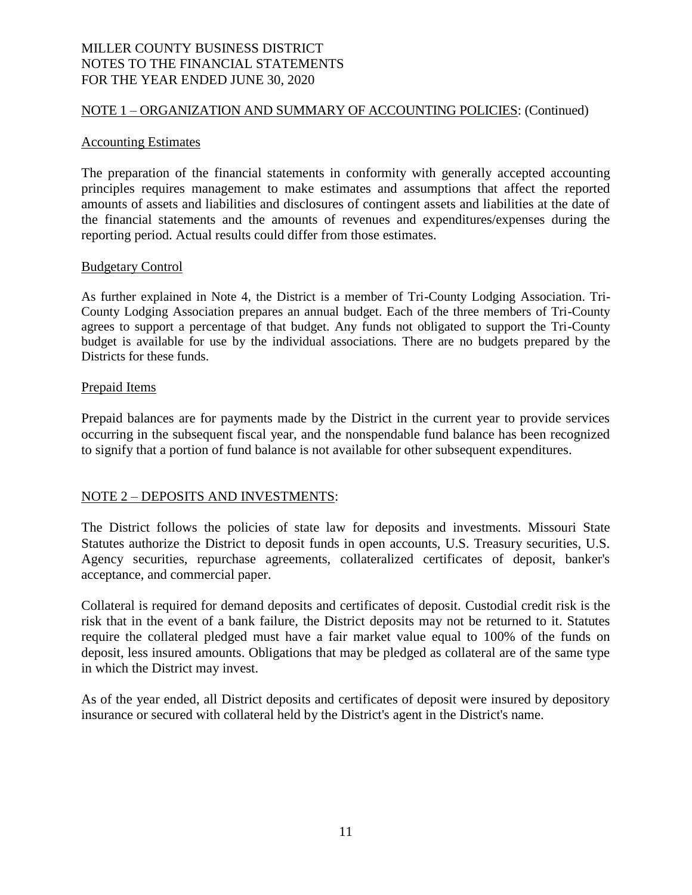#### NOTE 1 – ORGANIZATION AND SUMMARY OF ACCOUNTING POLICIES: (Continued)

#### Accounting Estimates

The preparation of the financial statements in conformity with generally accepted accounting principles requires management to make estimates and assumptions that affect the reported amounts of assets and liabilities and disclosures of contingent assets and liabilities at the date of the financial statements and the amounts of revenues and expenditures/expenses during the reporting period. Actual results could differ from those estimates.

#### Budgetary Control

As further explained in Note 4, the District is a member of Tri-County Lodging Association. Tri-County Lodging Association prepares an annual budget. Each of the three members of Tri-County agrees to support a percentage of that budget. Any funds not obligated to support the Tri-County budget is available for use by the individual associations. There are no budgets prepared by the Districts for these funds.

#### Prepaid Items

Prepaid balances are for payments made by the District in the current year to provide services occurring in the subsequent fiscal year, and the nonspendable fund balance has been recognized to signify that a portion of fund balance is not available for other subsequent expenditures.

## NOTE 2 – DEPOSITS AND INVESTMENTS:

The District follows the policies of state law for deposits and investments. Missouri State Statutes authorize the District to deposit funds in open accounts, U.S. Treasury securities, U.S. Agency securities, repurchase agreements, collateralized certificates of deposit, banker's acceptance, and commercial paper.

Collateral is required for demand deposits and certificates of deposit. Custodial credit risk is the risk that in the event of a bank failure, the District deposits may not be returned to it. Statutes require the collateral pledged must have a fair market value equal to 100% of the funds on deposit, less insured amounts. Obligations that may be pledged as collateral are of the same type in which the District may invest.

As of the year ended, all District deposits and certificates of deposit were insured by depository insurance or secured with collateral held by the District's agent in the District's name.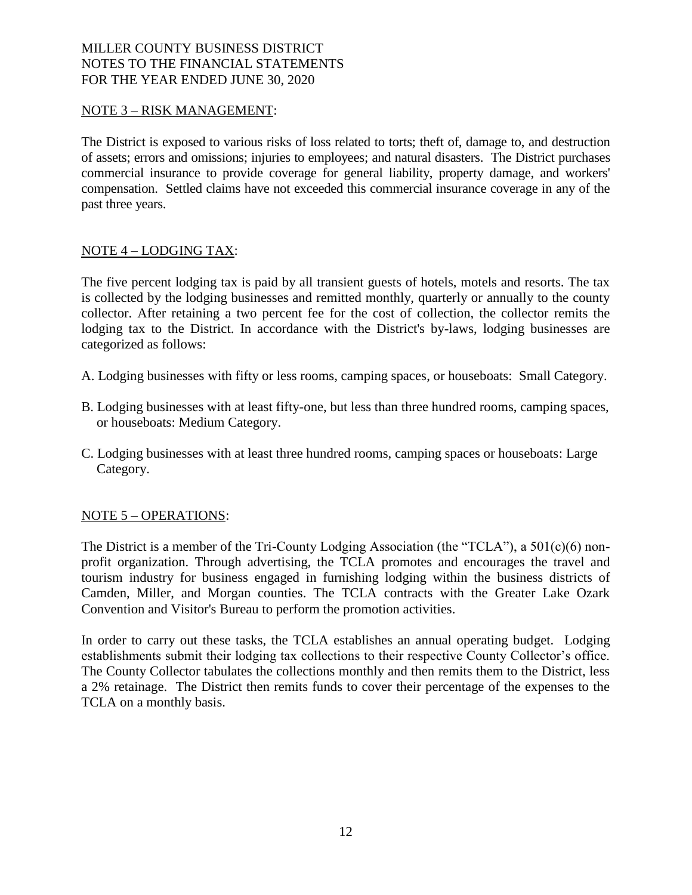## NOTE 3 – RISK MANAGEMENT:

The District is exposed to various risks of loss related to torts; theft of, damage to, and destruction of assets; errors and omissions; injuries to employees; and natural disasters. The District purchases commercial insurance to provide coverage for general liability, property damage, and workers' compensation. Settled claims have not exceeded this commercial insurance coverage in any of the past three years.

## NOTE 4 – LODGING TAX:

The five percent lodging tax is paid by all transient guests of hotels, motels and resorts. The tax is collected by the lodging businesses and remitted monthly, quarterly or annually to the county collector. After retaining a two percent fee for the cost of collection, the collector remits the lodging tax to the District. In accordance with the District's by-laws, lodging businesses are categorized as follows:

A. Lodging businesses with fifty or less rooms, camping spaces, or houseboats: Small Category.

- B. Lodging businesses with at least fifty-one, but less than three hundred rooms, camping spaces, or houseboats: Medium Category.
- C. Lodging businesses with at least three hundred rooms, camping spaces or houseboats: Large Category.

## NOTE 5 – OPERATIONS:

The District is a member of the Tri-County Lodging Association (the "TCLA"), a 501(c)(6) nonprofit organization. Through advertising, the TCLA promotes and encourages the travel and tourism industry for business engaged in furnishing lodging within the business districts of Camden, Miller, and Morgan counties. The TCLA contracts with the Greater Lake Ozark Convention and Visitor's Bureau to perform the promotion activities.

In order to carry out these tasks, the TCLA establishes an annual operating budget. Lodging establishments submit their lodging tax collections to their respective County Collector's office. The County Collector tabulates the collections monthly and then remits them to the District, less a 2% retainage. The District then remits funds to cover their percentage of the expenses to the TCLA on a monthly basis.